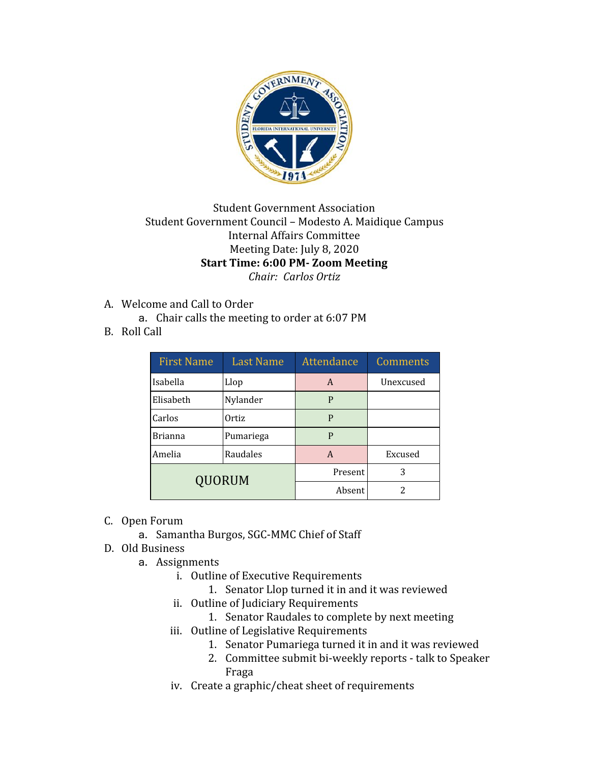

## Student Government Association Student Government Council – Modesto A. Maidique Campus Internal Affairs Committee Meeting Date: July 8, 2020 **Start Time: 6:00 PM- Zoom Meeting** *Chair: Carlos Ortiz*

- A. Welcome and Call to Order
	- a. Chair calls the meeting to order at 6:07 PM
- B. Roll Call

| <b>First Name</b> | <b>Last Name</b> | <b>Attendance</b> | Comments  |
|-------------------|------------------|-------------------|-----------|
| Isabella          | Llop             | A                 | Unexcused |
| Elisabeth         | Nylander         | P                 |           |
| Carlos            | Ortiz            | P                 |           |
| <b>Brianna</b>    | Pumariega        | P                 |           |
| Amelia            | Raudales         | A                 | Excused   |
| QUORUM            |                  | Present           | 3         |
|                   |                  | Absent            | 2         |

- C. Open Forum
	- a. Samantha Burgos, SGC-MMC Chief of Staff
- D. Old Business
	- a. Assignments
		- i. Outline of Executive Requirements
			- 1. Senator Llop turned it in and it was reviewed
		- ii. Outline of Judiciary Requirements
			- 1. Senator Raudales to complete by next meeting
		- iii. Outline of Legislative Requirements
			- 1. Senator Pumariega turned it in and it was reviewed
			- 2. Committee submit bi-weekly reports talk to Speaker Fraga
		- iv. Create a graphic/cheat sheet of requirements